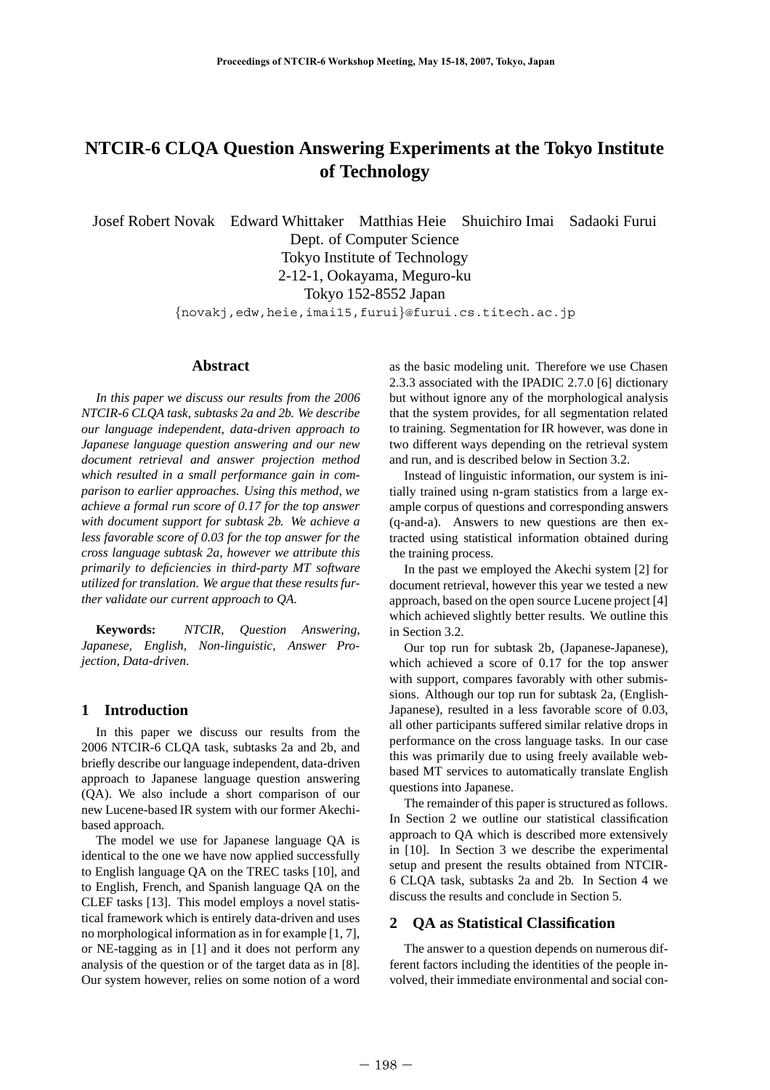# **NTCIR-6 CLQA Question Answering Experiments at the Tokyo Institute of Technology**

Josef Robert Novak Edward Whittaker Matthias Heie Shuichiro Imai Sadaoki Furui Dept. of Computer Science Tokyo Institute of Technology 2-12-1, Ookayama, Meguro-ku Tokyo 152-8552 Japan {novakj,edw,heie,imai15,furui}@furui.cs.titech.ac.jp

#### **Abstract**

*In this paper we discuss our results from the 2006 NTCIR-6 CLQA task, subtasks 2a and 2b. We describe our language independent, data-driven approach to Japanese language question answering and our new document retrieval and answer projection method which resulted in a small performance gain in comparison to earlier approaches. Using this method, we achieve a formal run score of 0.17 for the top answer with document support for subtask 2b. We achieve a less favorable score of 0.03 for the top answer for the cross language subtask 2a, however we attribute this primarily to deficiencies in third-party MT software utilized for translation. We argue that these results further validate our current approach to QA.*

**Keywords:** *NTCIR, Question Answering, Japanese, English, Non-linguistic, Answer Projection, Data-driven.*

#### **1 Introduction**

In this paper we discuss our results from the 2006 NTCIR-6 CLQA task, subtasks 2a and 2b, and briefly describe our language independent, data-driven approach to Japanese language question answering (QA). We also include a short comparison of our new Lucene-based IR system with our former Akechibased approach.

The model we use for Japanese language QA is identical to the one we have now applied successfully to English language QA on the TREC tasks [10], and to English, French, and Spanish language QA on the CLEF tasks [13]. This model employs a novel statistical framework which is entirely data-driven and uses no morphological information as in for example [1, 7], or NE-tagging as in [1] and it does not perform any analysis of the question or of the target data as in [8]. Our system however, relies on some notion of a word

as the basic modeling unit. Therefore we use Chasen 2.3.3 associated with the IPADIC 2.7.0 [6] dictionary but without ignore any of the morphological analysis that the system provides, for all segmentation related to training. Segmentation for IR however, was done in two different ways depending on the retrieval system and run, and is described below in Section 3.2.

Instead of linguistic information, our system is initially trained using n-gram statistics from a large example corpus of questions and corresponding answers (q-and-a). Answers to new questions are then extracted using statistical information obtained during the training process.

In the past we employed the Akechi system [2] for document retrieval, however this year we tested a new approach, based on the open source Lucene project [4] which achieved slightly better results. We outline this in Section 3.2.

Our top run for subtask 2b, (Japanese-Japanese), which achieved a score of 0.17 for the top answer with support, compares favorably with other submissions. Although our top run for subtask 2a, (English-Japanese), resulted in a less favorable score of 0.03, all other participants suffered similar relative drops in performance on the cross language tasks. In our case this was primarily due to using freely available webbased MT services to automatically translate English questions into Japanese.

The remainder of this paper is structured as follows. In Section 2 we outline our statistical classification approach to QA which is described more extensively in [10]. In Section 3 we describe the experimental setup and present the results obtained from NTCIR-6 CLQA task, subtasks 2a and 2b. In Section 4 we discuss the results and conclude in Section 5.

## **2 QA as Statistical Classification**

The answer to a question depends on numerous different factors including the identities of the people involved, their immediate environmental and social con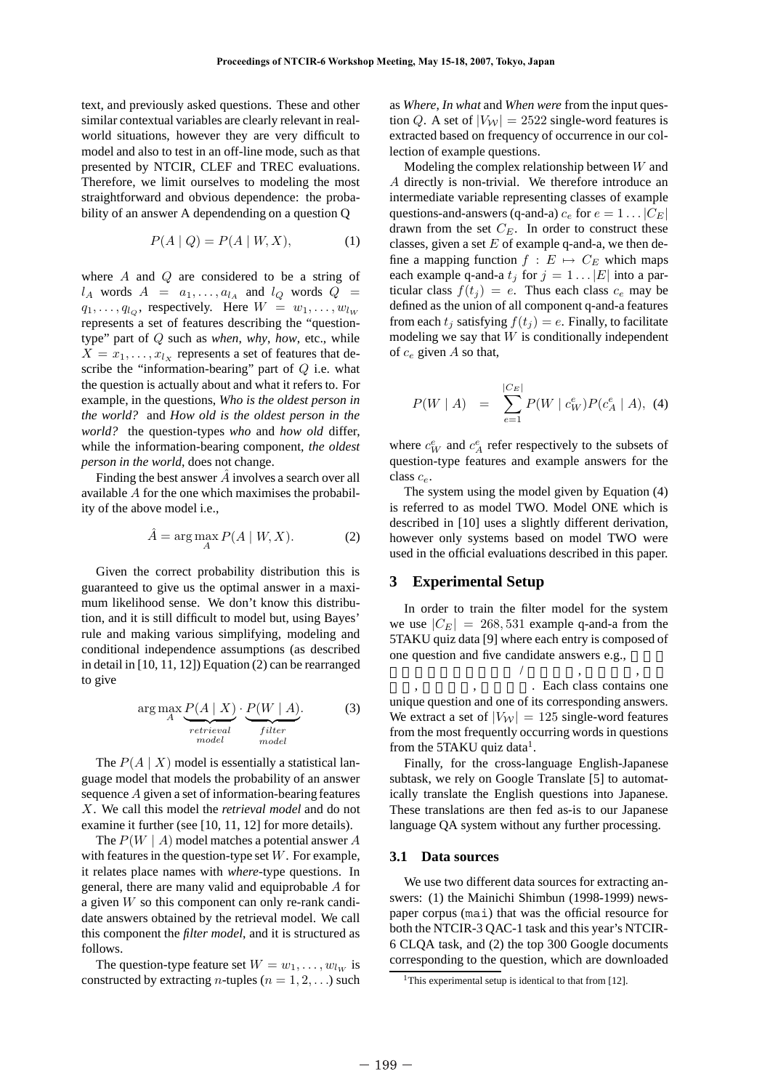text, and previously asked questions. These and other similar contextual variables are clearly relevant in realworld situations, however they are very difficult to model and also to test in an off-line mode, such as that presented by NTCIR, CLEF and TREC evaluations. Therefore, we limit ourselves to modeling the most straightforward and obvious dependence: the probability of an answer A dependending on a question Q

$$
P(A \mid Q) = P(A \mid W, X), \tag{1}
$$

where A and Q are considered to be a string of  $l_A$  words  $A = a_1, \ldots, a_{l_A}$  and  $l_Q$  words  $Q =$  $q_1, \ldots, q_{l_Q}$ , respectively. Here  $W = w_1, \ldots, w_{l_W}$ represents a set of features describing the "questiontype" part of Q such as *when*, *why*, *how*, etc., while  $X = x_1, \ldots, x_{l_X}$  represents a set of features that describe the "information-bearing" part of  $Q$  i.e. what the question is actually about and what it refers to. For example, in the questions, *Who is the oldest person in the world?* and *How old is the oldest person in the world?* the question-types *who* and *how old* differ, while the information-bearing component, *the oldest person in the world*, does not change.

Finding the best answer  $A$  involves a search over all available A for the one which maximises the probability of the above model i.e.,

$$
\hat{A} = \arg\max_{A} P(A \mid W, X). \tag{2}
$$

Given the correct probability distribution this is guaranteed to give us the optimal answer in a maximum likelihood sense. We don't know this distribution, and it is still difficult to model but, using Bayes' rule and making various simplifying, modeling and conditional independence assumptions (as described in detail in [10, 11, 12]) Equation (2) can be rearranged to give

$$
\arg\max_{A} \underbrace{P(A \mid X)}_{retrieval} \cdot \underbrace{P(W \mid A)}_{filter}
$$
 (3)

The  $P(A \mid X)$  model is essentially a statistical language model that models the probability of an answer sequence A given a set of information-bearing features X. We call this model the *retrieval model* and do not examine it further (see [10, 11, 12] for more details).

The  $P(W \mid A)$  model matches a potential answer A with features in the question-type set  $W$ . For example, it relates place names with *where*-type questions. In general, there are many valid and equiprobable A for a given W so this component can only re-rank candidate answers obtained by the retrieval model. We call this component the *filter model*, and it is structured as follows.

The question-type feature set  $W = w_1, \dots, w_{lw}$  is constructed by extracting *n*-tuples ( $n = 1, 2, \ldots$ ) such as *Where*, *In what* and *When were* from the input question Q. A set of  $|V_W| = 2522$  single-word features is extracted based on frequency of occurrence in our collection of example questions.

Modeling the complex relationship between W and A directly is non-trivial. We therefore introduce an intermediate variable representing classes of example questions-and-answers (q-and-a)  $c_e$  for  $e = 1 \dots |C_E|$ drawn from the set  $C_E$ . In order to construct these classes, given a set  $E$  of example q-and-a, we then define a mapping function  $f: E \mapsto C_E$  which maps each example q-and-a  $t_j$  for  $j = 1 \dots |E|$  into a particular class  $f(t_j) = e$ . Thus each class  $c_e$  may be defined as the union of all component q-and-a features from each  $t_i$  satisfying  $f(t_i) = e$ . Finally, to facilitate modeling we say that  $W$  is conditionally independent of  $c_e$  given A so that,

$$
P(W \mid A) = \sum_{e=1}^{|C_E|} P(W \mid c_W^e) P(c_A^e \mid A), \tag{4}
$$

where  $c_W^e$  and  $c_A^e$  refer respectively to the subsets of question-type features and example answers for the class  $c_e$ .

The system using the model given by Equation (4) is referred to as model TWO. Model ONE which is described in [10] uses a slightly different derivation, however only systems based on model TWO were used in the official evaluations described in this paper.

## **3 Experimental Setup**

In order to train the filter model for the system we use  $|C_E| = 268,531$  example q-and-a from the 5TAKU quiz data [9] where each entry is composed of one question and five candidate answers e.g.,

 $\begin{array}{ccccccccccccc} \end{array}$ . Each class contains one unique question and one of its corresponding answers. We extract a set of  $|V_W| = 125$  single-word features from the most frequently occurring words in questions from the 5TAKU quiz data<sup>1</sup>.

Finally, for the cross-language English-Japanese subtask, we rely on Google Translate [5] to automatically translate the English questions into Japanese. These translations are then fed as-is to our Japanese language QA system without any further processing.

#### **3.1 Data sources**

We use two different data sources for extracting answers: (1) the Mainichi Shimbun (1998-1999) newspaper corpus (mai) that was the official resource for both the NTCIR-3 QAC-1 task and this year's NTCIR-6 CLQA task, and (2) the top 300 Google documents corresponding to the question, which are downloaded

<sup>&</sup>lt;sup>1</sup>This experimental setup is identical to that from [12].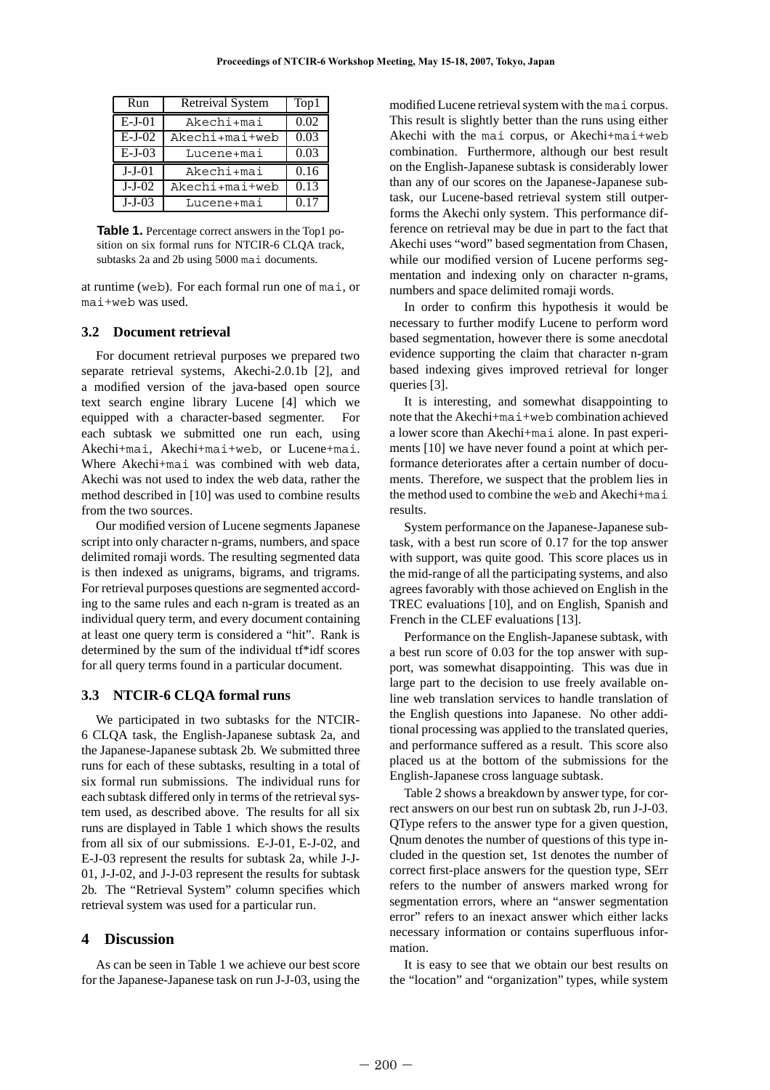| Run      | <b>Retreival System</b> | Top1 |
|----------|-------------------------|------|
| $E-J-01$ | Akechi+mai              | 0.02 |
| $E-J-02$ | Akechi+mai+web          | 0.03 |
| $E-J-03$ | Lucene+mai              | 0.03 |
| $J-J-01$ | Akechi+mai              | 0.16 |
| $J-J-02$ | Akechi+mai+web          | 0.13 |
| $J-J-03$ | Lucene+mai              | 0.17 |

**Table 1.** Percentage correct answers in the Top1 position on six formal runs for NTCIR-6 CLQA track, subtasks 2a and 2b using 5000 mai documents.

at runtime (web). For each formal run one of mai, or mai+web was used.

### **3.2 Document retrieval**

For document retrieval purposes we prepared two separate retrieval systems, Akechi-2.0.1b [2], and a modified version of the java-based open source text search engine library Lucene [4] which we equipped with a character-based segmenter. For each subtask we submitted one run each, using Akechi+mai, Akechi+mai+web, or Lucene+mai. Where Akechi+mai was combined with web data, Akechi was not used to index the web data, rather the method described in [10] was used to combine results from the two sources.

Our modified version of Lucene segments Japanese script into only character n-grams, numbers, and space delimited romaji words. The resulting segmented data is then indexed as unigrams, bigrams, and trigrams. For retrieval purposes questions are segmented according to the same rules and each n-gram is treated as an individual query term, and every document containing at least one query term is considered a "hit". Rank is determined by the sum of the individual tf\*idf scores for all query terms found in a particular document.

#### **3.3 NTCIR-6 CLQA formal runs**

We participated in two subtasks for the NTCIR-6 CLQA task, the English-Japanese subtask 2a, and the Japanese-Japanese subtask 2b. We submitted three runs for each of these subtasks, resulting in a total of six formal run submissions. The individual runs for each subtask differed only in terms of the retrieval system used, as described above. The results for all six runs are displayed in Table 1 which shows the results from all six of our submissions. E-J-01, E-J-02, and E-J-03 represent the results for subtask 2a, while J-J-01, J-J-02, and J-J-03 represent the results for subtask 2b. The "Retrieval System" column specifies which retrieval system was used for a particular run.

#### **4 Discussion**

As can be seen in Table 1 we achieve our best score for the Japanese-Japanese task on run J-J-03, using the modified Lucene retrieval system with the mai corpus. This result is slightly better than the runs using either Akechi with the mai corpus, or Akechi+mai+web combination. Furthermore, although our best result on the English-Japanese subtask is considerably lower than any of our scores on the Japanese-Japanese subtask, our Lucene-based retrieval system still outperforms the Akechi only system. This performance difference on retrieval may be due in part to the fact that Akechi uses "word" based segmentation from Chasen, while our modified version of Lucene performs segmentation and indexing only on character n-grams, numbers and space delimited romaji words.

In order to confirm this hypothesis it would be necessary to further modify Lucene to perform word based segmentation, however there is some anecdotal evidence supporting the claim that character n-gram based indexing gives improved retrieval for longer queries [3].

It is interesting, and somewhat disappointing to note that the Akechi+mai+web combination achieved a lower score than Akechi+mai alone. In past experiments [10] we have never found a point at which performance deteriorates after a certain number of documents. Therefore, we suspect that the problem lies in the method used to combine the web and Akechi+mai results.

System performance on the Japanese-Japanese subtask, with a best run score of 0.17 for the top answer with support, was quite good. This score places us in the mid-range of all the participating systems, and also agrees favorably with those achieved on English in the TREC evaluations [10], and on English, Spanish and French in the CLEF evaluations [13].

Performance on the English-Japanese subtask, with a best run score of 0.03 for the top answer with support, was somewhat disappointing. This was due in large part to the decision to use freely available online web translation services to handle translation of the English questions into Japanese. No other additional processing was applied to the translated queries, and performance suffered as a result. This score also placed us at the bottom of the submissions for the English-Japanese cross language subtask.

Table 2 shows a breakdown by answer type, for correct answers on our best run on subtask 2b, run J-J-03. QType refers to the answer type for a given question, Qnum denotes the number of questions of this type included in the question set, 1st denotes the number of correct first-place answers for the question type, SErr refers to the number of answers marked wrong for segmentation errors, where an "answer segmentation error" refers to an inexact answer which either lacks necessary information or contains superfluous information.

It is easy to see that we obtain our best results on the "location" and "organization" types, while system